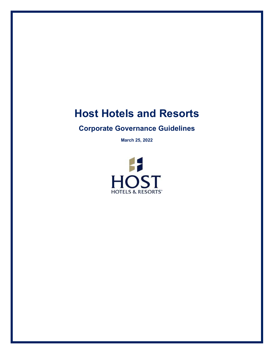# **Host Hotels and Resorts**

# **Corporate Governance Guidelines**

**March 25, 2022**

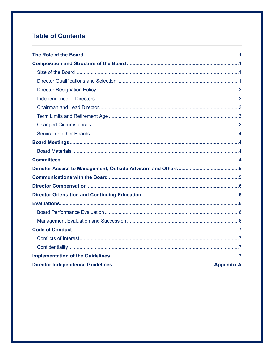# **Table of Contents**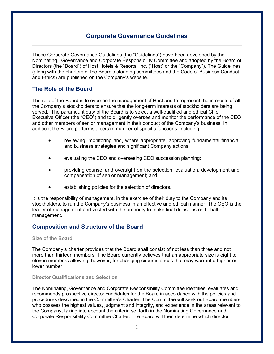# **Corporate Governance Guidelines**

These Corporate Governance Guidelines (the "Guidelines") have been developed by the Nominating, Governance and Corporate Responsibility Committee and adopted by the Board of Directors (the "Board") of Host Hotels & Resorts, Inc. ("Host" or the "Company"). The Guidelines (along with the charters of the Board's standing committees and the Code of Business Conduct and Ethics) are published on the Company's website.

# **The Role of the Board**

The role of the Board is to oversee the management of Host and to represent the interests of all the Company's stockholders to ensure that the long-term interests of stockholders are being served. The paramount duty of the Board is to select a well-qualified and ethical Chief Executive Officer (the "CEO") and to diligently oversee and monitor the performance of the CEO and other members of senior management in their conduct of the Company's business. In addition, the Board performs a certain number of specific functions, including:

- reviewing, monitoring and, where appropriate, approving fundamental financial and business strategies and significant Company actions;
- evaluating the CEO and overseeing CEO succession planning;
- providing counsel and oversight on the selection, evaluation, development and compensation of senior management; and
- establishing policies for the selection of directors.

It is the responsibility of management, in the exercise of their duty to the Company and its stockholders, to run the Company's business in an effective and ethical manner. The CEO is the leader of management and vested with the authority to make final decisions on behalf of management.

# **Composition and Structure of the Board**

**Size of the Board** 

The Company's charter provides that the Board shall consist of not less than three and not more than thirteen members. The Board currently believes that an appropriate size is eight to eleven members allowing, however, for changing circumstances that may warrant a higher or lower number.

#### **Director Qualifications and Selection**

The Nominating, Governance and Corporate Responsibility Committee identifies, evaluates and recommends prospective director candidates for the Board in accordance with the policies and procedures described in the Committee's Charter. The Committee will seek out Board members who possess the highest values, judgment and integrity, and experience in the areas relevant to the Company, taking into account the criteria set forth in the Nominating Governance and Corporate Responsibility Committee Charter. The Board will then determine which director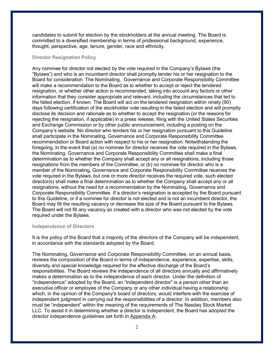candidates to submit for election by the stockholders at the annual meeting. The Board is committed to a diversified membership in terms of professional background, experience, thought, perspective, age, tenure, gender, race and ethnicity.

#### **Director Resignation Policy**

Any nominee for director not elected by the vote required in the Company's Bylaws (the "Bylaws") and who is an incumbent director shall promptly tender his or her resignation to the Board for consideration. The Nominating, Governance and Corporate Responsibility Committee will make a recommendation to the Board as to whether to accept or reject the tendered resignation, or whether other action is recommended, taking into account any factors or other information that they consider appropriate and relevant, including the circumstances that led to the failed election, if known. The Board will act on the tendered resignation within ninety (90) days following certification of the stockholder vote resulting in the failed election and will promptly disclose its decision and rationale as to whether to accept the resignation (or the reasons for rejecting the resignation, if applicable) in a press release, filing with the United States Securities and Exchange Commission or by other public announcement, including a posting on the Company's website. No director who tenders his or her resignation pursuant to this Guideline shall participate in the Nominating, Governance and Corporate Responsibility Committee recommendation or Board action with respect to his or her resignation. Notwithstanding the foregoing, in the event that (a) no nominee for director receives the vote required in the Bylaws, the Nominating, Governance and Corporate Responsibility Committee shall make a final determination as to whether the Company shall accept any or all resignations, including those resignations from the members of the Committee, or (b) no nominee for director who is a member of the Nominating, Governance and Corporate Responsibility Committee receives the vote required in the Bylaws, but one or more director receives the required vote, such elected director(s) shall make a final determination as to whether the Company shall accept any or all resignations, without the need for a recommendation by the Nominating, Governance and Corporate Responsibility Committee. If a director's resignation is accepted by the Board pursuant to this Guideline, or if a nominee for director is not elected and is not an incumbent director, the Board may fill the resulting vacancy or decrease the size of the Board pursuant to the Bylaws. The Board will not fill any vacancy so created with a director who was not elected by the vote required under the Bylaws.

#### **Independence of Directors**

It is the policy of the Board that a majority of the directors of the Company will be independent, in accordance with the standards adopted by the Board.

The Nominating, Governance and Corporate Responsibility Committee, on an annual basis, reviews the composition of the Board in terms of independence, experience, expertise, skills, diversity and special knowledge required for the effective discharge of the Board's responsibilities. The Board reviews the independence of all directors annually and affirmatively makes a determination as to the independence of each director. Under the definition of "independence" adopted by the Board, an "independent director" is a person other than an executive officer or employee of the Company or any other individual having a relationship which, in the opinion of the Company's board of directors, would interfere with the exercise of independent judgment in carrying out the responsibilities of a director. In addition, members also must be "independent" within the meaning of the requirements of The Nasdaq Stock Market LLC. To assist it in determining whether a director is independent, the Board has adopted the director independence guidelines set forth in Appendix A.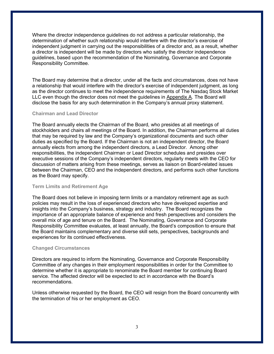Where the director independence guidelines do not address a particular relationship, the determination of whether such relationship would interfere with the director's exercise of independent judgment in carrying out the responsibilities of a director and, as a result, whether a director is independent will be made by directors who satisfy the director independence guidelines, based upon the recommendation of the Nominating, Governance and Corporate Responsibility Committee.

The Board may determine that a director, under all the facts and circumstances, does not have a relationship that would interfere with the director's exercise of independent judgment, as long as the director continues to meet the independence requirements of The Nasdaq Stock Market LLC even though the director does not meet the guidelines in Appendix A. The Board will disclose the basis for any such determination in the Company's annual proxy statement.

#### **Chairman and Lead Director**

The Board annually elects the Chairman of the Board*,* who presides at all meetings of stockholders and chairs all meetings of the Board. In addition, the Chairman performs all duties that may be required by law and the Company's organizational documents and such other duties as specified by the Board. If the Chairman is not an independent director, the Board annually elects from among the independent directors, a Lead Director. Among other responsibilities, the independent Chairman or Lead Director schedules and presides over executive sessions of the Company's independent directors, regularly meets with the CEO for discussion of matters arising from these meetings, serves as liaison on Board-related issues between the Chairman, CEO and the independent directors, and performs such other functions as the Board may specify.

#### **Term Limits and Retirement Age**

The Board does not believe in imposing term limits or a mandatory retirement age as such policies may result in the loss of experienced directors who have developed expertise and insights into the Company's business, strategy and industry. The Board recognizes the importance of an appropriate balance of experience and fresh perspectives and considers the overall mix of age and tenure on the Board. The Nominating, Governance and Corporate Responsibility Committee evaluates, at least annually, the Board's composition to ensure that the Board maintains complementary and diverse skill sets, perspectives, backgrounds and experiences for its continued effectiveness.

#### **Changed Circumstances**

Directors are required to inform the Nominating, Governance and Corporate Responsibility Committee of any changes in their employment responsibilities in order for the Committee to determine whether it is appropriate to renominate the Board member for continuing Board service. The affected director will be expected to act in accordance with the Board's recommendations.

Unless otherwise requested by the Board, the CEO will resign from the Board concurrently with the termination of his or her employment as CEO.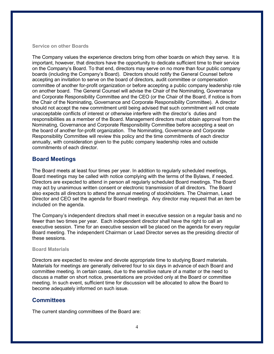#### **Service on other Boards**

The Company values the experience directors bring from other boards on which they serve. It is important, however, that directors have the opportunity to dedicate sufficient time to their service on the Company's Board. To that end, directors may serve on no more than four public company boards (including the Company's Board). Directors should notify the General Counsel before accepting an invitation to serve on the board of directors, audit committee or compensation committee of another for-profit organization or before accepting a public company leadership role on another board. The General Counsel will advise the Chair of the Nominating, Governance and Corporate Responsibility Committee and the CEO (or the Chair of the Board, if notice is from the Chair of the Nominating, Governance and Corporate Responsibility Committee). A director should not accept the new commitment until being advised that such commitment will not create unacceptable conflicts of interest or otherwise interfere with the director's duties and responsibilities as a member of the Board. Management directors must obtain approval from the Nominating, Governance and Corporate Responsibility Committee before accepting a seat on the board of another for-profit organization. The Nominating, Governance and Corporate Responsibility Committee will review this policy and the time commitments of each director annually, with consideration given to the public company leadership roles and outside commitments of each director.

# **Board Meetings**

The Board meets at least four times per year. In addition to regularly scheduled meetings, Board meetings may be called with notice complying with the terms of the Bylaws, if needed. Directors are expected to attend in person all regularly scheduled Board meetings. The Board may act by unanimous written consent or electronic transmission of all directors. The Board also expects all directors to attend the annual meeting of stockholders. The Chairman, Lead Director and CEO set the agenda for Board meetings. Any director may request that an item be included on the agenda.

The Company's independent directors shall meet in executive session on a regular basis and no fewer than two times per year. Each independent director shall have the right to call an executive session. Time for an executive session will be placed on the agenda for every regular Board meeting. The independent Chairman or Lead Director serves as the presiding director of these sessions.

#### **Board Materials**

Directors are expected to review and devote appropriate time to studying Board materials. Materials for meetings are generally delivered four to six days in advance of each Board and committee meeting. In certain cases, due to the sensitive nature of a matter or the need to discuss a matter on short notice, presentations are provided only at the Board or committee meeting. In such event, sufficient time for discussion will be allocated to allow the Board to become adequately informed on such issue.

# **Committees**

The current standing committees of the Board are: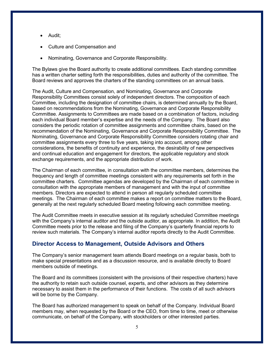- Audit;
- Culture and Compensation and
- Nominating, Governance and Corporate Responsibility.

The Bylaws give the Board authority to create additional committees. Each standing committee has a written charter setting forth the responsibilities, duties and authority of the committee. The Board reviews and approves the charters of the standing committees on an annual basis.

The Audit, Culture and Compensation, and Nominating, Governance and Corporate Responsibility Committees consist solely of independent directors. The composition of each Committee, including the designation of committee chairs, is determined annually by the Board, based on recommendations from the Nominating, Governance and Corporate Responsibility Committee. Assignments to Committees are made based on a combination of factors, including each individual Board member's expertise and the needs of the Company. The Board also considers the periodic rotation of committee assignments and committee chairs, based on the recommendation of the Nominating, Governance and Corporate Responsibility Committee. The Nominating, Governance and Corporate Responsibility Committee considers rotating chair and committee assignments every three to five years, taking into account, among other considerations, the benefits of continuity and experience, the desirability of new perspectives and continual education and engagement for directors, the applicable regulatory and stock exchange requirements, and the appropriate distribution of work.

The Chairman of each committee, in consultation with the committee members, determines the frequency and length of committee meetings consistent with any requirements set forth in the committee charters. Committee agendas are developed by the Chairman of each committee in consultation with the appropriate members of management and with the input of committee members. Directors are expected to attend in person all regularly scheduled committee meetings. The Chairman of each committee makes a report on committee matters to the Board, generally at the next regularly scheduled Board meeting following each committee meeting.

The Audit Committee meets in executive session at its regularly scheduled Committee meetings with the Company's internal auditor and the outside auditor, as appropriate. In addition, the Audit Committee meets prior to the release and filing of the Company's quarterly financial reports to review such materials. The Company's internal auditor reports directly to the Audit Committee.

# **Director Access to Management, Outside Advisors and Others**

The Company's senior management team attends Board meetings on a regular basis, both to make special presentations and as a discussion resource, and is available directly to Board members outside of meetings.

The Board and its committees (consistent with the provisions of their respective charters) have the authority to retain such outside counsel, experts, and other advisors as they determine necessary to assist them in the performance of their functions. The costs of all such advisors will be borne by the Company.

The Board has authorized management to speak on behalf of the Company. Individual Board members may, when requested by the Board or the CEO, from time to time, meet or otherwise communicate, on behalf of the Company, with stockholders or other interested parties.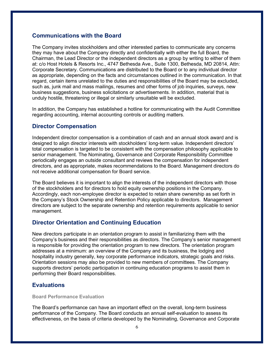# **Communications with the Board**

The Company invites stockholders and other interested parties to communicate any concerns they may have about the Company directly and confidentially with either the full Board, the Chairman, the Lead Director or the independent directors as a group by writing to either of them at: c/o Host Hotels & Resorts Inc., 4747 Bethesda Ave., Suite 1300, Bethesda, MD 20814, Attn: Corporate Secretary. Communications are distributed to the Board or to any individual director as appropriate, depending on the facts and circumstances outlined in the communication. In that regard, certain items unrelated to the duties and responsibilities of the Board may be excluded, such as, junk mail and mass mailings, resumes and other forms of job inquiries, surveys, new business suggestions, business solicitations or advertisements. In addition, material that is unduly hostile, threatening or illegal or similarly unsuitable will be excluded.

In addition, the Company has established a hotline for communicating with the Audit Committee regarding accounting, internal accounting controls or auditing matters.

# **Director Compensation**

Independent director compensation is a combination of cash and an annual stock award and is designed to align director interests with stockholders' long-term value. Independent directors' total compensation is targeted to be consistent with the compensation philosophy applicable to senior management. The Nominating, Governance and Corporate Responsibility Committee periodically engages an outside consultant and reviews the compensation for independent directors, and as appropriate, makes recommendations to the Board. Management directors do not receive additional compensation for Board service.

The Board believes it is important to align the interests of the independent directors with those of the stockholders and for directors to hold equity ownership positions in the Company. Accordingly, each non-employee director is expected to retain share ownership as set forth in the Company's Stock Ownership and Retention Policy applicable to directors. Management directors are subject to the separate ownership and retention requirements applicable to senior management.

# **Director Orientation and Continuing Education**

New directors participate in an orientation program to assist in familiarizing them with the Company's business and their responsibilities as directors. The Company's senior management is responsible for providing the orientation program to new directors. The orientation program addresses at a minimum: an overview of the Company and its business, the lodging and hospitality industry generally, key corporate performance indicators, strategic goals and risks. Orientation sessions may also be provided to new members of committees. The Company supports directors' periodic participation in continuing education programs to assist them in performing their Board responsibilities.

# **Evaluations**

**Board Performance Evaluation**

The Board's performance can have an important effect on the overall, long-term business performance of the Company. The Board conducts an annual self-evaluation to assess its effectiveness, on the basis of criteria developed by the Nominating, Governance and Corporate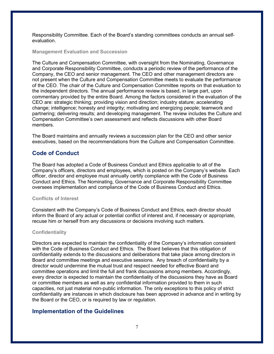Responsibility Committee. Each of the Board's standing committees conducts an annual selfevaluation.

#### **Management Evaluation and Succession**

The Culture and Compensation Committee, with oversight from the Nominating, Governance and Corporate Responsibility Committee, conducts a periodic review of the performance of the Company, the CEO and senior management. The CEO and other management directors are not present when the Culture and Compensation Committee meets to evaluate the performance of the CEO. The chair of the Culture and Compensation Committee reports on that evaluation to the independent directors. The annual performance review is based, in large part, upon commentary provided by the entire Board. Among the factors considered in the evaluation of the CEO are: strategic thinking; providing vision and direction; industry stature; accelerating change; intelligence; honesty and integrity; motivating and energizing people; teamwork and partnering; delivering results; and developing management. The review includes the Culture and Compensation Committee's own assessment and reflects discussions with other Board members.

The Board maintains and annually reviews a succession plan for the CEO and other senior executives, based on the recommendations from the Culture and Compensation Committee.

# **Code of Conduct**

The Board has adopted a Code of Business Conduct and Ethics applicable to all of the Company's officers, directors and employees, which is posted on the Company's website. Each officer, director and employee must annually certify compliance with the Code of Business Conduct and Ethics. The Nominating, Governance and Corporate Responsibility Committee oversees implementation and compliance of the Code of Business Conduct and Ethics.

#### **Conflicts of Interest**

Consistent with the Company's Code of Business Conduct and Ethics, each director should inform the Board of any actual or potential conflict of interest and, if necessary or appropriate, recuse him or herself from any discussions or decisions involving such matters.

#### **Confidentiality**

Directors are expected to maintain the confidentiality of the Company's information consistent with the Code of Business Conduct and Ethics. The Board believes that this obligation of confidentiality extends to the discussions and deliberations that take place among directors in Board and committee meetings and executive sessions. Any breach of confidentiality by a director would undermine the mutual trust and respect needed for effective Board and committee operations and limit the full and frank discussions among members. Accordingly, every director is expected to maintain the confidentiality of the discussions they have as Board or committee members as well as any confidential information provided to them in such capacities, not just material non-public information. The only exceptions to this policy of strict confidentiality are instances in which disclosure has been approved in advance and in writing by the Board or the CEO, or is required by law or regulation.

# **Implementation of the Guidelines**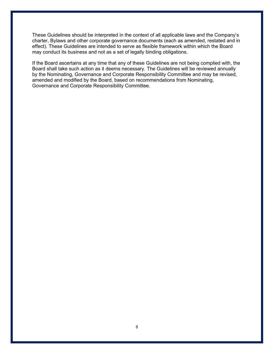These Guidelines should be interpreted in the context of all applicable laws and the Company's charter, Bylaws and other corporate governance documents (each as amended, restated and in effect). These Guidelines are intended to serve as flexible framework within which the Board may conduct its business and not as a set of legally binding obligations.

If the Board ascertains at any time that any of these Guidelines are not being complied with, the Board shall take such action as it deems necessary. The Guidelines will be reviewed annually by the Nominating, Governance and Corporate Responsibility Committee and may be revised, amended and modified by the Board, based on recommendations from Nominating, Governance and Corporate Responsibility Committee.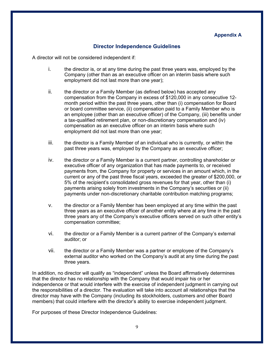# **Appendix A**

#### **Director Independence Guidelines**

A director will not be considered independent if:

- i. the director is, or at any time during the past three years was, employed by the Company (other than as an executive officer on an interim basis where such employment did not last more than one year);
- ii. the director or a Family Member (as defined below) has accepted any compensation from the Company in excess of \$120,000 in any consecutive 12 month period within the past three years, other than (i) compensation for Board or board committee service, (ii) compensation paid to a Family Member who is an employee (other than an executive officer) of the Company, (iii) benefits under a tax-qualified retirement plan, or non-discretionary compensation and (iv) compensation as an executive officer on an interim basis where such employment did not last more than one year;
- iii. the director is a Family Member of an individual who is currently, or within the past three years was, employed by the Company as an executive officer;
- iv. the director or a Family Member is a current partner, controlling shareholder or executive officer of any organization that has made payments to, or received payments from, the Company for property or services in an amount which, in the current or any of the past three fiscal years, exceeded the greater of \$200,000, or 5% of the recipient's consolidated gross revenues for that year, other than (i) payments arising solely from investments in the Company's securities or (ii) payments under non-discretionary charitable contribution matching programs;
- v. the director or a Family Member has been employed at any time within the past three years as an executive officer of another entity where at any time in the past three years any of the Company's executive officers served on such other entity's compensation committee;
- vi. the director or a Family Member is a current partner of the Company's external auditor; or
- vii. the director or a Family Member was a partner or employee of the Company's external auditor who worked on the Company's audit at any time during the past three years.

In addition, no director will qualify as "independent" unless the Board affirmatively determines that the director has no relationship with the Company that would impair his or her independence or that would interfere with the exercise of independent judgment in carrying out the responsibilities of a director. The evaluation will take into account all relationships that the director may have with the Company (including its stockholders, customers and other Board members) that could interfere with the director's ability to exercise independent judgment.

For purposes of these Director Independence Guidelines: